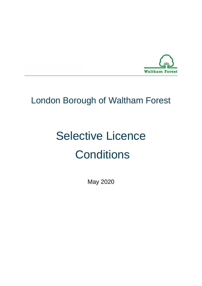

# London Borough of Waltham Forest

# Selective Licence **Conditions**

May 2020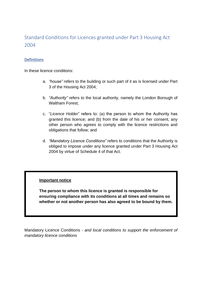# Standard Conditions for Licences granted under Part 3 Housing Act 2004

#### **Definitions**

In these licence conditions:

- a. *"house"* refers to the building or such part of it as is licensed under Part 3 of the Housing Act 2004;
- b. *"Authority"* refers to the local authority, namely the London Borough of Waltham Forest;
- c. "*Licence Holder*" refers to: (a) the person to whom the Authority has granted this licence; and (b) from the date of his or her consent, any other person who agrees to comply with the licence restrictions and obligations that follow; and
- d. *"Mandatory Licence Conditions"* refers to conditions that the Authority is obliged to impose under any licence granted under Part 3 Housing Act 2004 by virtue of Schedule 4 of that Act.

#### **Important notice**

**The person to whom this licence is granted is responsible for ensuring compliance with its conditions at all times and remains so whether or not another person has also agreed to be bound by them.**

Mandatory Licence Conditions - *and local conditions to support the enforcement of mandatory licence conditions*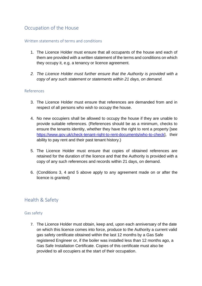# Occupation of the House

#### Written statements of terms and conditions

- 1. The Licence Holder must ensure that all occupants of the house and each of them are provided with a written statement of the terms and conditions on which they occupy it, e.g. a tenancy or licence agreement.
- *2. The Licence Holder must further ensure that the Authority is provided with a copy of any such statement or statements within 21 days, on demand.*

#### References

- 3. The Licence Holder must ensure that references are demanded from and in respect of all persons who wish to occupy the house.
- 4. No new occupiers shall be allowed to occupy the house if they are unable to provide suitable references. (References should be as a minimum, checks to ensure the tenants identity, whether they have the right to rent a property [see [https://www.gov.uk/check-tenant-right-to-rent-documents/who-to-check\]](https://www.gov.uk/check-tenant-right-to-rent-documents/who-to-check), their ability to pay rent and their past tenant history.)
- 5. The Licence Holder must ensure that copies of obtained references are retained for the duration of the licence and that the Authority is provided with a copy of any such references and records within 21 days, on demand.
- 6. (Conditions 3, 4 and 5 above apply to any agreement made on or after the licence is granted)

# Health & Safety

#### Gas safety

7. The Licence Holder must obtain, keep and, upon each anniversary of the date on which this licence comes into force, produce to the Authority a current valid gas safety certificate obtained within the last 12 months by a Gas Safe registered Engineer or, if the boiler was installed less than 12 months ago, a Gas Safe Installation Certificate. Copies of this certificate must also be provided to all occupiers at the start of their occupation.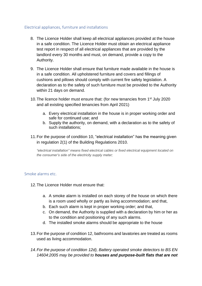#### Electrical appliances, furniture and installations

- 8. The Licence Holder shall keep all electrical appliances provided at the house in a safe condition. The Licence Holder must obtain an electrical appliance test report in respect of all electrical appliances that are provided by the landlord every 30 months and must, on demand, provide a copy to the Authority.
- 9. The Licence Holder shall ensure that furniture made available in the house is in a safe condition. All upholstered furniture and covers and fillings of cushions and pillows should comply with current fire safety legislation. A declaration as to the safety of such furniture must be provided to the Authority within 21 days on demand.
- 10. The licence holder must ensure that: (for new tenancies from 1<sup>st</sup> July 2020) and all existing specified tenancies from April 2021)
	- a. Every electrical installation in the house is in proper working order and safe for continued use; and
	- b. Supply the authority, on demand, with a declaration as to the safety of such installations;
- 11.For the purpose of condition 10, "electrical installation" has the meaning given in regulation 2(1) of the Building Regulations 2010.

*"electrical installation" means fixed electrical cables or fixed electrical equipment located on the consumer's side of the electricity supply meter;*

#### Smoke alarms etc.

- 12.The Licence Holder must ensure that:
	- a. A smoke alarm is installed on each storey of the house on which there is a room used wholly or partly as living accommodation; and that,
	- b. Each such alarm is kept in proper working order; and that,
	- c. On demand, the Authority is supplied with a declaration by him or her as to the condition and positioning of any such alarms.
	- d. The installed smoke alarms should be appropriate to the house
- 13.For the purpose of condition 12, bathrooms and lavatories are treated as rooms used as living accommodation.
- *14.For the purpose of condition 12d), Battery operated smoke detectors to BS EN 14604:2005 may be provided to houses and purpose-built flats that are not*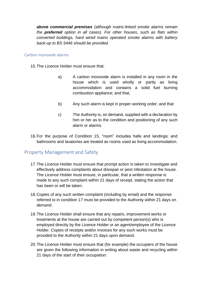*above commercial premises (although mains-linked smoke alarms remain the preferred option in all cases). For other houses, such as flats within converted buildings, hard wired mains operated smoke alarms with battery back-up to BS 5446 should be provided.*

#### Carbon monoxide alarms

15.The Licence Holder must ensure that:

- a) A carbon monoxide alarm is installed in any room in the house which is used wholly or partly as living accommodation and contains a solid fuel burning combustion appliance; and that,
- b) Any such alarm is kept in proper working order; and that
- c) The Authority is, on demand, supplied with a declaration by him or her as to the condition and positioning of any such alarm or alarms.
- 16.For the purpose of Condition 15, "room" includes halls and landings; and bathrooms and lavatories are treated as rooms used as living accommodation.

# Property Management and Safety

- 17.The Licence Holder must ensure that prompt action is taken to investigate and effectively address complaints about disrepair or pest infestation at the house. The Licence Holder must ensure, in particular, that a written response is made to any such complaint within 21 days of receipt, stating the action that has been or will be taken.
- 18.Copies of any such written complaint (including by email) and the response referred to in condition 17 must be provided to the Authority within 21 days on demand.
- 19.The Licence Holder shall ensure that any repairs, improvement works or treatments at the house are carried out by competent person(s) who is employed directly by the Licence Holder or an agent/employee of the Licence Holder. Copies of receipts and/or invoices for any such works must be provided to the Authority within 21 days upon demand.
- 20.The Licence Holder must ensure that (for example) the occupiers of the house are given the following information in writing about waste and recycling within 21 days of the start of their occupation: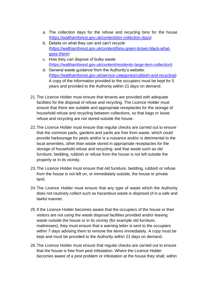- a. The collection days for the refuse and recycling bins for the house [\(https://walthamforest.gov.uk/content/bin-collection-days\)](https://walthamforest.gov.uk/content/bin-collection-days)
- b. Details on what they can and can't recycle [\(https://walthamforest.gov.uk/content/bins-green-brown-black-what](https://walthamforest.gov.uk/content/bins-green-brown-black-what-goes-them)[goes-them\)](https://walthamforest.gov.uk/content/bins-green-brown-black-what-goes-them)
- c. How they can dispose of bulky waste [\(https://walthamforest.gov.uk/content/residents-large-item-collection\)](https://walthamforest.gov.uk/content/residents-large-item-collection)
- d. General waste guidance from the Authority's website: [\(https://walthamforest.gov.uk/service-categories/rubbish-and-recycling\)](https://walthamforest.gov.uk/service-categories/rubbish-and-recycling) A copy of the information provided to the occupiers must be kept for 5 years and provided to the Authority within 21 days on demand.
- 21.The Licence Holder must ensure that tenants are provided with adequate facilities for the disposal of refuse and recycling. The Licence Holder must ensure that there are suitable and appropriate receptacles for the storage of household refuse and recycling between collections, so that bags or loose refuse and recycling are not stored outside the house.
- 22.The Licence Holder must ensure that regular checks are carried out to ensure that the common parts, gardens and yards are free from waste, which could provide harbourage for pests and/or is a nuisance and/or is detrimental to the local amenities, other than waste stored in appropriate receptacles for the storage of household refuse and recycling; and that waste such as old furniture, bedding, rubbish or refuse from the house is not left outside the property or in its vicinity.
- 23.The Licence Holder must ensure that old furniture, bedding, rubbish or refuse from the house is not left on, or immediately outside, the house or private land.
- 24.The Licence Holder must ensure that any type of waste which the Authority does not routinely collect such as hazardous waste is disposed of in a safe and lawful manner.
- 25.If the Licence Holder becomes aware that the occupiers of the house or their visitors are not using the waste disposal facilities provided and/or leaving waste outside the house or in its vicinity (for example old furniture, mattresses), they must ensure that a warning letter is sent to the occupiers within 7 days advising them to remove the items immediately. A copy must be kept and must be provided to the Authority within 21 days on demand.
- 26.The Licence Holder must ensure that regular checks are carried out to ensure that the house is free from pest infestation. Where the Licence Holder becomes aware of a pest problem or infestation at the house they shall, within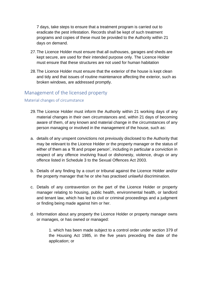7 days, take steps to ensure that a treatment program is carried out to eradicate the pest infestation. Records shall be kept of such treatment programs and copies of these must be provided to the Authority within 21 days on demand.

- 27.The Licence Holder must ensure that all outhouses, garages and sheds are kept secure, are used for their intended purpose only. The Licence Holder must ensure that these structures are not used for human habitation
- 28.The Licence Holder must ensure that the exterior of the house is kept clean and tidy and that issues of routine maintenance affecting the exterior, such as broken windows, are addressed promptly.

# Management of the licensed property

#### Material changes of circumstance

- 29.The Licence Holder must inform the Authority within 21 working days of any material changes in their own circumstances and, within 21 days of becoming aware of them, of any known and material change in the circumstances of any person managing or involved in the management of the house, such as:
- a. details of any unspent convictions not previously disclosed to the Authority that may be relevant to the Licence Holder or the property manager or the status of either of them as a 'fit and proper person', including in particular a conviction in respect of any offence involving fraud or dishonesty, violence, drugs or any offence listed in Schedule 3 to the Sexual Offences Act 2003.
- b. Details of any finding by a court or tribunal against the Licence Holder and/or the property manager that he or she has practised unlawful discrimination.
- c. Details of any contravention on the part of the Licence Holder or property manager relating to housing, public health, environmental health, or landlord and tenant law, which has led to civil or criminal proceedings and a judgment or finding being made against him or her.
- d. Information about any property the Licence Holder or property manager owns or manages, or has owned or managed:

1. which has been made subject to a control order under section 379 of the Housing Act 1985, in the five years preceding the date of the application; or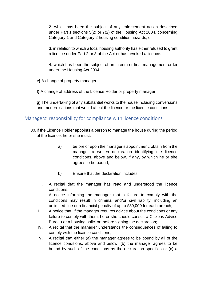2. which has been the subject of any enforcement action described under Part 1 sections 5(2) or 7(2) of the Housing Act 2004, concerning Category 1 and Category 2 housing condition hazards; or

3. in relation to which a local housing authority has either refused to grant a licence under Part 2 or 3 of the Act or has revoked a licence.

4. which has been the subject of an interim or final management order under the Housing Act 2004.

**e)** A change of property manager

**f)** A change of address of the Licence Holder or property manager

**g)** The undertaking of any substantial works to the house including conversions and modernisations that would affect the licence or the licence conditions

# Managers' responsibility for compliance with licence conditions

- 30.If the Licence Holder appoints a person to manage the house during the period of the licence, he or she must:
	- a) before or upon the manager's appointment, obtain from the manager a written declaration identifying the licence conditions, above and below, if any, by which he or she agrees to be bound;
	- b) Ensure that the declaration includes:
	- I. A recital that the manager has read and understood the licence conditions;
	- II. A notice informing the manager that a failure to comply with the conditions may result in criminal and/or civil liability, including an unlimited fine or a financial penalty of up to £30,000 for each breach;
	- III. A notice that, if the manager requires advice about the conditions or any failure to comply with them, he or she should consult a Citizens Advice Bureau or a housing solicitor, before signing the declaration;
	- IV. A recital that the manager understands the consequences of failing to comply with the licence conditions;
	- V. A recital that either (a) the manager agrees to be bound by all of the licence conditions, above and below, (b) the manager agrees to be bound by such of the conditions as the declaration specifies or (c) a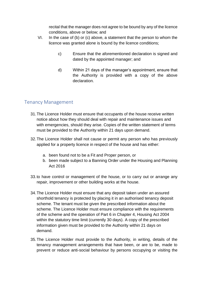recital that the manager does not agree to be bound by any of the licence conditions, above or below; and

- VI. In the case of (b) or (c) above, a statement that the person to whom the licence was granted alone is bound by the licence conditions;
	- c) Ensure that the aforementioned declaration is signed and dated by the appointed manager; and
	- d) Within 21 days of the manager's appointment, ensure that the Authority is provided with a copy of the above declaration.

# Tenancy Management

- 31.The Licence Holder must ensure that occupants of the house receive written notice about how they should deal with repair and maintenance issues and with emergencies, should they arise. Copies of the written statement of terms must be provided to the Authority within 21 days upon demand.
- 32.The Licence Holder shall not cause or permit any person who has previously applied for a property licence in respect of the house and has either:
	- a. been found not to be a Fit and Proper person, or
	- b. been made subject to a Banning Order under the Housing and Planning Act 2016
- 33.to have control or management of the house, or to carry out or arrange any repair, improvement or other building works at the house.
- 34.The Licence Holder must ensure that any deposit taken under an assured shorthold tenancy is protected by placing it in an authorised tenancy deposit scheme. The tenant must be given the prescribed information about the scheme. The Licence Holder must ensure compliance with the requirements of the scheme and the operation of Part 6 in Chapter 4, Housing Act 2004 within the statutory time limit (currently 30 days). A copy of the prescribed information given must be provided to the Authority within 21 days on demand.
- 35.The Licence Holder must provide to the Authority, in writing, details of the tenancy management arrangements that have been, or are to be, made to prevent or reduce anti-social behaviour by persons occupying or visiting the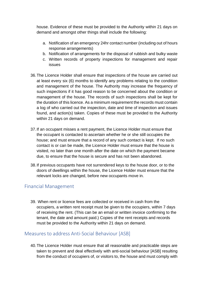house. Evidence of these must be provided to the Authority within 21 days on demand and amongst other things shall include the following:

- a. Notification of an emergency 24hr contact number (including out of hours response arrangements)
- b. Notification of arrangements for the disposal of rubbish and bulky waste
- c. Written records of property inspections for management and repair issues
- 36.The Licence Holder shall ensure that inspections of the house are carried out at least every six (6) months to identify any problems relating to the condition and management of the house. The Authority may increase the frequency of such inspections if it has good reason to be concerned about the condition or management of the house. The records of such inspections shall be kept for the duration of this licence. As a minimum requirement the records must contain a log of who carried out the inspection, date and time of inspection and issues found, and action(s) taken. Copies of these must be provided to the Authority within 21 days on demand.
- 37.If an occupant misses a rent payment, the Licence Holder must ensure that the occupant is contacted to ascertain whether he or she still occupies the house; and must ensure that a record of any such contact is kept. If no such contact is or can be made, the Licence Holder must ensure that the house is visited, no later than one month after the date on which the payment became due, to ensure that the house is secure and has not been abandoned.
- 38.If previous occupants have not surrendered keys to the house door, or to the doors of dwellings within the house, the Licence Holder must ensure that the relevant locks are changed, before new occupants move in.

# Financial Management

39. When rent or licence fees are collected or received in cash from the occupiers, a written rent receipt must be given to the occupiers, within 7 days of receiving the rent. (This can be an email or written invoice confirming to the tenant, the date and amount paid.) Copies of the rent receipts and records must be provided to the Authority within 21 days on demand.

# Measures to address Anti-Social Behaviour [ASB]

40.The Licence Holder must ensure that all reasonable and practicable steps are taken to prevent and deal effectively with anti-social behaviour [ASB] resulting from the conduct of occupiers of, or visitors to, the house and must comply with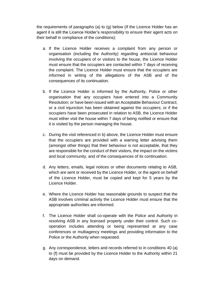the requirements of paragraphs (a) to (g) below (If the Licence Holder has an agent it is still the Licence Holder's responsibility to ensure their agent acts on their behalf in compliance of the conditions):

- a. If the Licence Holder receives a complaint from any person or organisation (including the Authority) regarding antisocial behaviour involving the occupiers of or visitors to the house, the Licence Holder must ensure that the occupiers are contacted within 7 days of receiving the complaint. The Licence Holder must ensure that the occupiers are informed in writing of the allegations of the ASB and of the consequences of its continuation.
- b. If the Licence Holder is informed by the Authority, Police or other organisation that any occupiers have entered into a Community Resolution; or have been issued with an Acceptable Behaviour Contract; or a civil injunction has been obtained against the occupiers; or if the occupiers have been prosecuted in relation to ASB, the Licence Holder must either visit the house within 7 days of being notified or ensure that it is visited by the person managing the house.
- c. During the visit referenced in b) above, the Licence Holder must ensure that the occupiers are provided with a warning letter advising them (amongst other things) that their behaviour is not acceptable, that they are responsible for the conduct of their visitors, the impact on the victims and local community, and of the consequences of its continuation.
- d. Any letters, emails, legal notices or other documents relating to ASB, which are sent or received by the Licence Holder, or the agent on behalf of the Licence Holder, must be copied and kept for 5 years by the Licence Holder.
- e. Where the Licence Holder has reasonable grounds to suspect that the ASB involves criminal activity the Licence Holder must ensure that the appropriate authorities are informed.
- f. The Licence Holder shall co-operate with the Police and Authority in resolving ASB in any licensed property under their control. Such cooperation includes attending or being represented at any case conferences or multiagency meetings and providing information to the Police or the Authority when requested.
- g. Any correspondence, letters and records referred to in conditions 40 (a) to (f) must be provided by the Licence Holder to the Authority within 21 days on demand.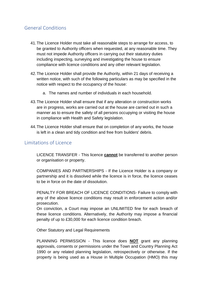# General Conditions

- 41.The Licence Holder must take all reasonable steps to arrange for access, to be granted to Authority officers when requested, at any reasonable time. They must not impede Authority officers in carrying out their statutory duties including inspecting, surveying and investigating the house to ensure compliance with licence conditions and any other relevant legislation.
- 42.The Licence Holder shall provide the Authority, within 21 days of receiving a written notice, with such of the following particulars as may be specified in the notice with respect to the occupancy of the house:
	- a. The names and number of individuals in each household.
- 43.The Licence Holder shall ensure that if any alteration or construction works are in progress, works are carried out at the house are carried out in such a manner as to ensure the safety of all persons occupying or visiting the house in compliance with Health and Safety legislation.
- 44.The Licence Holder shall ensure that on completion of any works, the house is left in a clean and tidy condition and free from builders' debris.

### Limitations of Licence

LICENCE TRANSFER - This licence **cannot** be transferred to another person or organisation or property.

COMPANIES AND PARTNERSHIPS - If the Licence Holder is a company or partnership and it is dissolved while the licence is in force, the licence ceases to be in force on the date of dissolution.

PENALTY FOR BREACH OF LICENCE CONDITIONS- Failure to comply with any of the above licence conditions may result in enforcement action and/or prosecution.

On conviction, a Court may impose an UNLIMITED fine for each breach of these licence conditions. Alternatively, the Authority may impose a financial penalty of up to £30,000 for each licence condition breach.

Other Statutory and Legal Requirements

PLANNING PERMISSION - This licence does **NOT** grant any planning approvals, consents or permissions under the Town and Country Planning Act 1990 or any related planning legislation, retrospectively or otherwise. If the property is being used as a House in Multiple Occupation (HMO) this may